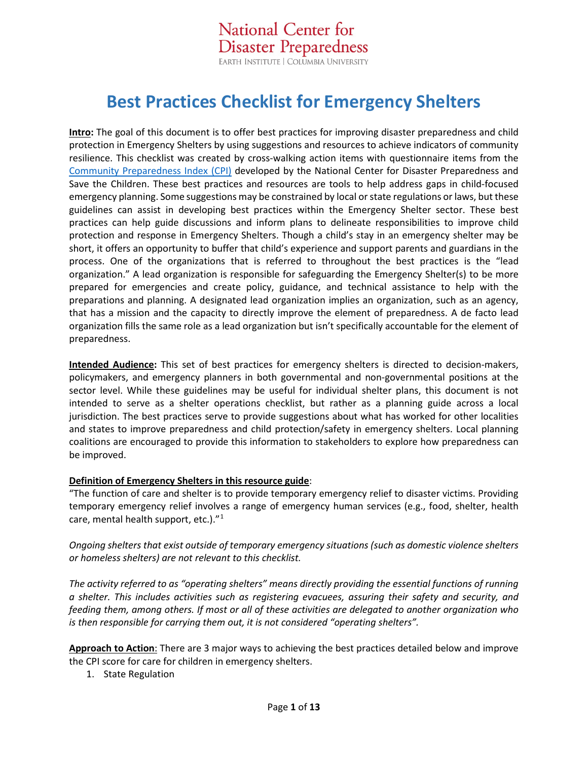**National Center for Disaster Preparedness** EARTH INSTITUTE | COLUMBIA UNIVERSITY

# **Best Practices Checklist for Emergency Shelters**

**Intro:** The goal of this document is to offer best practices for improving disaster preparedness and child protection in Emergency Shelters by using suggestions and resources to achieve indicators of community resilience. This checklist was created by cross-walking action items with questionnaire items from the [Community Preparedness Index \(CPI\)](http://www.savethechildren.org/site/c.8rKLIXMGIpI4E/b.8777055/k.18AB/Get_Ready_Get_Safe_Plan_Ahead.htm) developed by the National Center for Disaster Preparedness and Save the Children. These best practices and resources are tools to help address gaps in child-focused emergency planning. Some suggestions may be constrained by local or state regulations or laws, but these guidelines can assist in developing best practices within the Emergency Shelter sector. These best practices can help guide discussions and inform plans to delineate responsibilities to improve child protection and response in Emergency Shelters. Though a child's stay in an emergency shelter may be short, it offers an opportunity to buffer that child's experience and support parents and guardians in the process. One of the organizations that is referred to throughout the best practices is the "lead organization." A lead organization is responsible for safeguarding the Emergency Shelter(s) to be more prepared for emergencies and create policy, guidance, and technical assistance to help with the preparations and planning. A designated lead organization implies an organization, such as an agency, that has a mission and the capacity to directly improve the element of preparedness. A de facto lead organization fills the same role as a lead organization but isn't specifically accountable for the element of preparedness.

**Intended Audience:** This set of best practices for emergency shelters is directed to decision-makers, policymakers, and emergency planners in both governmental and non-governmental positions at the sector level. While these guidelines may be useful for individual shelter plans, this document is not intended to serve as a shelter operations checklist, but rather as a planning guide across a local jurisdiction. The best practices serve to provide suggestions about what has worked for other localities and states to improve preparedness and child protection/safety in emergency shelters. Local planning coalitions are encouraged to provide this information to stakeholders to explore how preparedness can be improved.

#### **Definition of Emergency Shelters in this resource guide**:

["The function of care and shelter is to provide temporary emergency relief to disaster victims. Providing](https://www.cdc.gov/nceh/ehs/docs/guide_for_local_jurisdictions_care_and_shelter_planning.pdf)  temporary emergency relief involves a range [of emergency human services \(e.g., food, shelter, health](https://www.cdc.gov/nceh/ehs/docs/guide_for_local_jurisdictions_care_and_shelter_planning.pdf)  [care, mental health support, etc.\)."](https://www.cdc.gov/nceh/ehs/docs/guide_for_local_jurisdictions_care_and_shelter_planning.pdf)[1](#page-11-0)

*Ongoing shelters that exist outside of temporary emergency situations (such as domestic violence shelters or homeless shelters) are not relevant to this checklist.*

*The activity referred to as "operating shelters" means directly providing the essential functions of running a shelter. This includes activities such as registering evacuees, assuring their safety and security, and feeding them, among others. If most or all of these activities are delegated to another organization who is then responsible for carrying them out, it is not considered "operating shelters".* 

**Approach to Action**: There are 3 major ways to achieving the best practices detailed below and improve the CPI score for care for children in emergency shelters.

1. State Regulation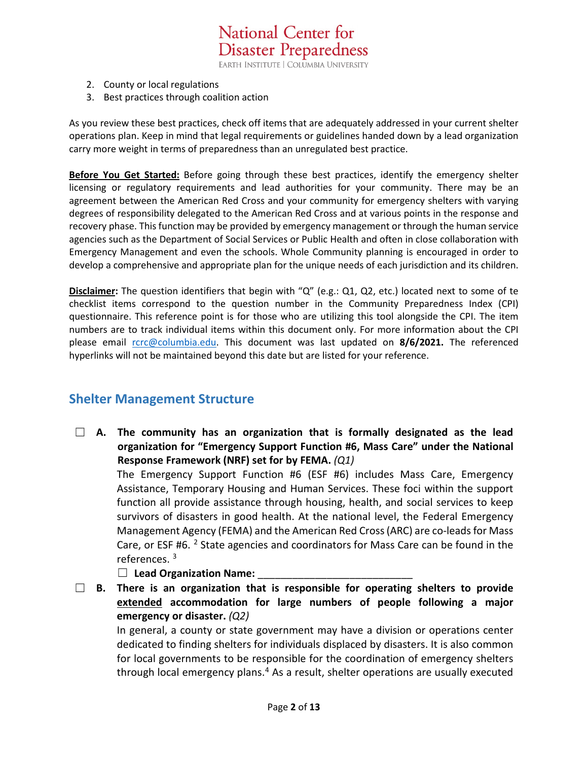**National Center for Disaster Preparedness** EARTH INSTITUTE | COLUMBIA UNIVERSITY

- 2. County or local regulations
- 3. Best practices through coalition action

As you review these best practices, check off items that are adequately addressed in your current shelter operations plan. Keep in mind that legal requirements or guidelines handed down by a lead organization carry more weight in terms of preparedness than an unregulated best practice.

**Before You Get Started:** Before going through these best practices, identify the emergency shelter licensing or regulatory requirements and lead authorities for your community. There may be an agreement between the American Red Cross and your community for emergency shelters with varying degrees of responsibility delegated to the American Red Cross and at various points in the response and recovery phase. This function may be provided by emergency management or through the human service agencies such as the Department of Social Services or Public Health and often in close collaboration with Emergency Management and even the schools. Whole Community planning is encouraged in order to develop a comprehensive and appropriate plan for the unique needs of each jurisdiction and its children.

**Disclaimer:** The question identifiers that begin with "Q" (e.g.: Q1, Q2, etc.) located next to some of te checklist items correspond to the question number in the Community Preparedness Index (CPI) questionnaire. This reference point is for those who are utilizing this tool alongside the CPI. The item numbers are to track individual items within this document only. For more information about the CPI please email [rcrc@columbia.edu.](mailto:rcrc@columbia.edu?subject=CPI%20Inquiry%20-%20Best%20Practice%20Checklist) This document was last updated on **8/6/2021.** The referenced hyperlinks will not be maintained beyond this date but are listed for your reference.

### **Shelter Management Structure**

☐ **A. The community has an organization that is formally designated as the lead organization for "Emergency Support Function #6, Mass Care" under the National Response Framework (NRF) set for by FEMA.** *(Q1)* 

The Emergency Support Function #6 (ESF #6) includes Mass Care, Emergency Assistance, Temporary Housing and Human Services. These foci within the support function all provide assistance through housing, health, and social services to keep survivors of disasters in good health. At the national level, the Federal Emergency Management Agency (FEMA) and the American Red Cross (ARC) are co-leads for Mass Care, or ESF #6.  $2$  State agencies and coordinators for Mass Care can be found in the references. [3](#page-11-2)

□ Lead Organization Name:

☐ **B. There is an organization that is responsible for operating shelters to provide extended accommodation for large numbers of people following a major emergency or disaster.** *(Q2)*

In general, a county or state government may have a division or operations center dedicated to finding shelters for individuals displaced by disasters. It is also common for local governments to be responsible for the coordination of emergency shelters through local emergency plans.<sup>[4](#page-11-3)</sup> As a result, shelter operations are usually executed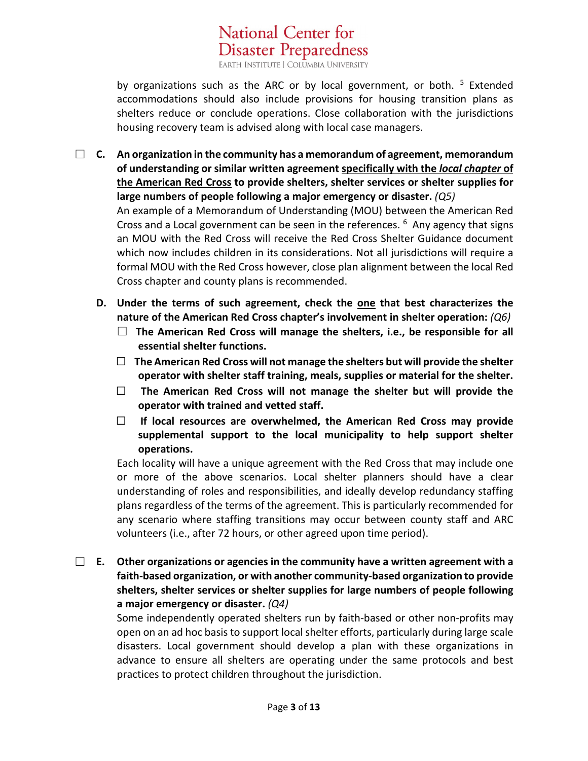**Disaster Preparedness** EARTH INSTITUTE | COLUMBIA UNIVERSITY

National Center for

by organizations such as the ARC or by local government, or both. <sup>[5](#page-11-4)</sup> Extended accommodations should also include provisions for housing transition plans as shelters reduce or conclude operations. Close collaboration with the jurisdictions housing recovery team is advised along with local case managers.

- ☐ **C. An organization in the community has a memorandum of agreement, memorandum of understanding or similar written agreement specifically with the** *local chapter* **of the American Red Cross to provide shelters, shelter services or shelter supplies for large numbers of people following a major emergency or disaster.** *(Q5)* An example of a Memorandum of Understanding (MOU) between the American Red Cross and a Local government can be seen in the references.  $6$  Any agency that signs an MOU with the Red Cross will receive the Red Cross Shelter Guidance document which now includes children in its considerations. Not all jurisdictions will require a formal MOU with the Red Cross however, close plan alignment between the local Red Cross chapter and county plans is recommended.
	- **D. Under the terms of such agreement, check the one that best characterizes the nature of the American Red Cross chapter's involvement in shelter operation:** *(Q6)*
		- ☐ **The American Red Cross will manage the shelters, i.e., be responsible for all essential shelter functions.**
		- ☐ **The American Red Cross will not manage the shelters but will provide the shelter operator with shelter staff training, meals, supplies or material for the shelter.**
		- ☐ **The American Red Cross will not manage the shelter but will provide the operator with trained and vetted staff.**
		- ☐ **If local resources are overwhelmed, the American Red Cross may provide supplemental support to the local municipality to help support shelter operations.**

Each locality will have a unique agreement with the Red Cross that may include one or more of the above scenarios. Local shelter planners should have a clear understanding of roles and responsibilities, and ideally develop redundancy staffing plans regardless of the terms of the agreement. This is particularly recommended for any scenario where staffing transitions may occur between county staff and ARC volunteers (i.e., after 72 hours, or other agreed upon time period).

☐ **E. Other organizations or agencies in the community have a written agreement with a faith-based organization, or with another community-based organization to provide shelters, shelter services or shelter supplies for large numbers of people following a major emergency or disaster.** *(Q4)*

Some independently operated shelters run by faith-based or other non-profits may open on an ad hoc basis to support local shelter efforts, particularly during large scale disasters. Local government should develop a plan with these organizations in advance to ensure all shelters are operating under the same protocols and best practices to protect children throughout the jurisdiction.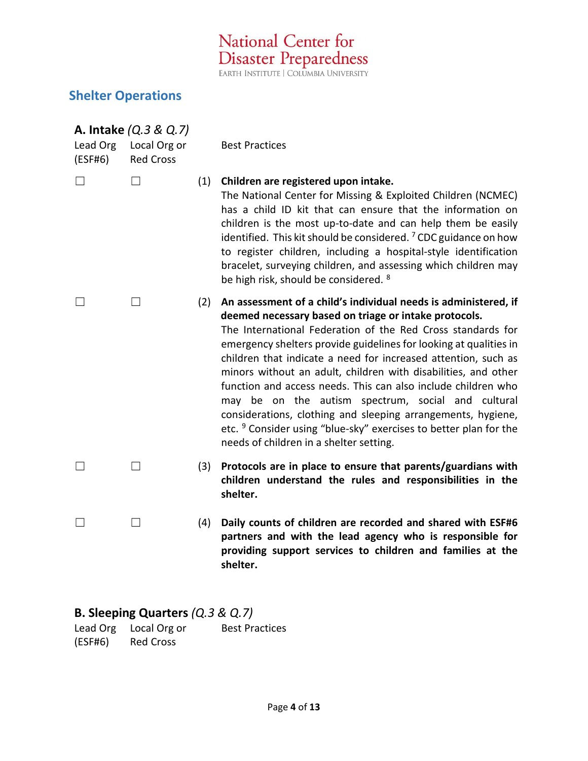National Center for **Disaster Preparedness** 

### **Shelter Operations**

| <b>A. Intake</b> (Q.3 & Q.7) |                                  |     |                                                                                                                                                                                                                                                                                                                                                                                                                                                                                                                                                                                                                                                                                                                    |
|------------------------------|----------------------------------|-----|--------------------------------------------------------------------------------------------------------------------------------------------------------------------------------------------------------------------------------------------------------------------------------------------------------------------------------------------------------------------------------------------------------------------------------------------------------------------------------------------------------------------------------------------------------------------------------------------------------------------------------------------------------------------------------------------------------------------|
| Lead Org<br>(ESF#6)          | Local Org or<br><b>Red Cross</b> |     | <b>Best Practices</b>                                                                                                                                                                                                                                                                                                                                                                                                                                                                                                                                                                                                                                                                                              |
|                              |                                  |     | (1) Children are registered upon intake.<br>The National Center for Missing & Exploited Children (NCMEC)<br>has a child ID kit that can ensure that the information on<br>children is the most up-to-date and can help them be easily<br>identified. This kit should be considered. <sup>7</sup> CDC guidance on how<br>to register children, including a hospital-style identification<br>bracelet, surveying children, and assessing which children may<br>be high risk, should be considered. <sup>8</sup>                                                                                                                                                                                                      |
|                              |                                  | (2) | An assessment of a child's individual needs is administered, if<br>deemed necessary based on triage or intake protocols.<br>The International Federation of the Red Cross standards for<br>emergency shelters provide guidelines for looking at qualities in<br>children that indicate a need for increased attention, such as<br>minors without an adult, children with disabilities, and other<br>function and access needs. This can also include children who<br>may be on the autism spectrum, social and cultural<br>considerations, clothing and sleeping arrangements, hygiene,<br>etc. <sup>9</sup> Consider using "blue-sky" exercises to better plan for the<br>needs of children in a shelter setting. |
|                              |                                  | (3) | Protocols are in place to ensure that parents/guardians with<br>children understand the rules and responsibilities in the<br>shelter.                                                                                                                                                                                                                                                                                                                                                                                                                                                                                                                                                                              |
|                              |                                  | (4) | Daily counts of children are recorded and shared with ESF#6<br>partners and with the lead agency who is responsible for<br>providing support services to children and families at the                                                                                                                                                                                                                                                                                                                                                                                                                                                                                                                              |

### **B. Sleeping Quarters** *(Q.3 & Q.7)*

Lead Org Local Org or (ESF#6) Red Cross Best Practices

**shelter.**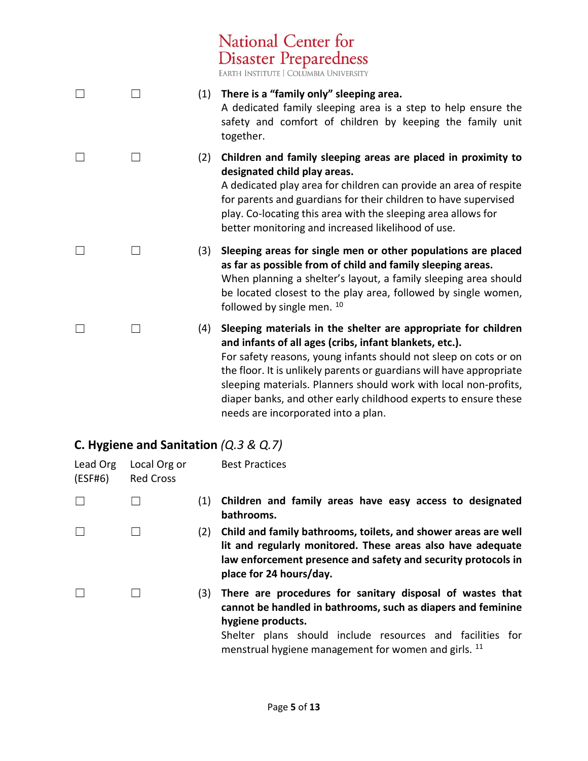**Disaster Preparedness** EARTH INSTITUTE | COLUMBIA UNIVERSITY ☐ ☐ (1) **There is a "family only" sleeping area.** A dedicated family sleeping area is a step to help ensure the safety and comfort of children by keeping the family unit together. ☐ ☐ (2) **Children and family sleeping areas are placed in proximity to designated child play areas.** A dedicated play area for children can provide an area of respite for parents and guardians for their children to have supervised play. Co-locating this area with the sleeping area allows for better monitoring and increased likelihood of use. ☐ ☐ (3) **Sleeping areas for single men or other populations are placed as far as possible from of child and family sleeping areas.** When planning a shelter's layout, a family sleeping area should be located closest to the play area, followed by single women, followed by single men. [10](#page-12-3) ☐ ☐ (4) **Sleeping materials in the shelter are appropriate for children and infants of all ages (cribs, infant blankets, etc.).** For safety reasons, young infants should not sleep on cots or on the floor. It is unlikely parents or guardians will have appropriate sleeping materials. Planners should work with local non-profits, diaper banks, and other early childhood experts to ensure these

National Center for

### **C. Hygiene and Sanitation** *(Q.3 & Q.7)*

| Lead Org<br>(ESF#6) | Local Org or<br><b>Red Cross</b> |     | <b>Best Practices</b>                                                                                                                                                                                                                                               |
|---------------------|----------------------------------|-----|---------------------------------------------------------------------------------------------------------------------------------------------------------------------------------------------------------------------------------------------------------------------|
|                     |                                  | (1) | Children and family areas have easy access to designated<br>bathrooms.                                                                                                                                                                                              |
|                     |                                  | (2) | Child and family bathrooms, toilets, and shower areas are well<br>lit and regularly monitored. These areas also have adequate<br>law enforcement presence and safety and security protocols in<br>place for 24 hours/day.                                           |
|                     |                                  | (3) | There are procedures for sanitary disposal of wastes that<br>cannot be handled in bathrooms, such as diapers and feminine<br>hygiene products.<br>Shelter plans should include resources and facilities for<br>menstrual hygiene management for women and girls. 11 |

needs are incorporated into a plan.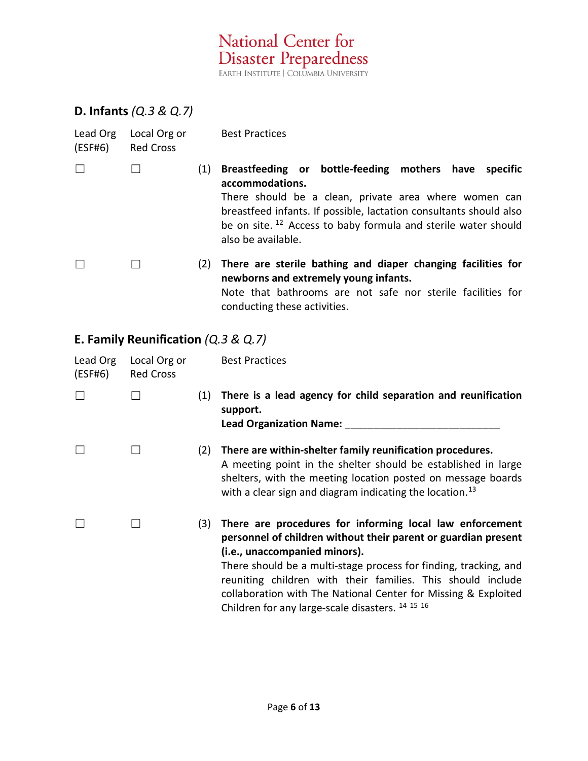National Center for<br>Disaster Preparedness

### **D. Infants** *(Q.3 & Q.7)*

| Lead Org<br>(ESF#6) | Local Org or<br><b>Red Cross</b> |     | <b>Best Practices</b>                                                                                                                                                                                                                                                                                         |
|---------------------|----------------------------------|-----|---------------------------------------------------------------------------------------------------------------------------------------------------------------------------------------------------------------------------------------------------------------------------------------------------------------|
|                     |                                  | (1) | Breastfeeding or bottle-feeding mothers have<br>specific<br>accommodations.<br>There should be a clean, private area where women can<br>breastfeed infants. If possible, lactation consultants should also<br>be on site. <sup>12</sup> Access to baby formula and sterile water should<br>also be available. |
|                     |                                  | (2) | There are sterile bathing and diaper changing facilities for<br>newborns and extremely young infants.<br>Note that bathrooms are not safe nor sterile facilities for<br>conducting these activities.                                                                                                          |

# **E. Family Reunification** *(Q.3 & Q.7)*

<span id="page-5-0"></span>

| Lead Org<br>(ESF#6) | Local Org or<br><b>Red Cross</b> |     | <b>Best Practices</b>                                                                                                                                                                                                                                                                                                                                                                                                           |
|---------------------|----------------------------------|-----|---------------------------------------------------------------------------------------------------------------------------------------------------------------------------------------------------------------------------------------------------------------------------------------------------------------------------------------------------------------------------------------------------------------------------------|
|                     |                                  | (1) | There is a lead agency for child separation and reunification<br>support.<br><b>Lead Organization Name:</b>                                                                                                                                                                                                                                                                                                                     |
|                     |                                  | (2) | There are within-shelter family reunification procedures.<br>A meeting point in the shelter should be established in large<br>shelters, with the meeting location posted on message boards<br>with a clear sign and diagram indicating the location. <sup>13</sup>                                                                                                                                                              |
|                     |                                  | (3) | There are procedures for informing local law enforcement<br>personnel of children without their parent or guardian present<br>(i.e., unaccompanied minors).<br>There should be a multi-stage process for finding, tracking, and<br>reuniting children with their families. This should include<br>collaboration with The National Center for Missing & Exploited<br>Children for any large-scale disasters. <sup>14 15 16</sup> |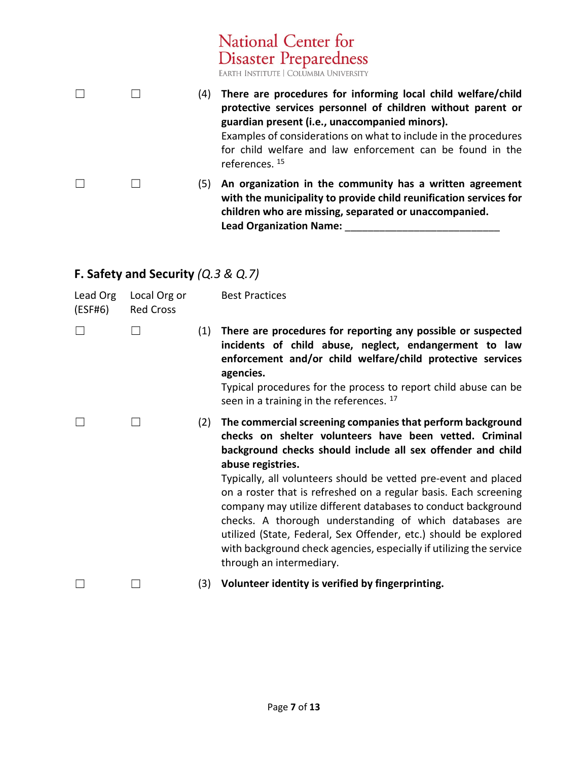|  |     | National Center for<br><b>Disaster Preparedness</b><br>EARTH INSTITUTE   COLUMBIA UNIVERSITY                                                                                                                                                                                                                                               |
|--|-----|--------------------------------------------------------------------------------------------------------------------------------------------------------------------------------------------------------------------------------------------------------------------------------------------------------------------------------------------|
|  | (4) | There are procedures for informing local child welfare/child<br>protective services personnel of children without parent or<br>guardian present (i.e., unaccompanied minors).<br>Examples of considerations on what to include in the procedures<br>for child welfare and law enforcement can be found in the<br>references. <sup>15</sup> |
|  | (5) | An organization in the community has a written agreement<br>with the municipality to provide child reunification services for<br>children who are missing, separated or unaccompanied.                                                                                                                                                     |

**Lead Organization Name:** \_\_\_\_\_\_\_\_\_\_\_\_\_\_\_\_\_\_\_\_\_\_\_\_\_\_\_

# **F. Safety and Security** *(Q.3 & Q.7)*

| Lead Org<br>(ESF#6) | Local Org or<br><b>Red Cross</b> |     | <b>Best Practices</b>                                                                                                                                                                                                                                                                                                                                                                                                                                                                                                                                                                                                                               |
|---------------------|----------------------------------|-----|-----------------------------------------------------------------------------------------------------------------------------------------------------------------------------------------------------------------------------------------------------------------------------------------------------------------------------------------------------------------------------------------------------------------------------------------------------------------------------------------------------------------------------------------------------------------------------------------------------------------------------------------------------|
|                     |                                  | (1) | There are procedures for reporting any possible or suspected<br>incidents of child abuse, neglect, endangerment to law<br>enforcement and/or child welfare/child protective services<br>agencies.<br>Typical procedures for the process to report child abuse can be<br>seen in a training in the references. 17                                                                                                                                                                                                                                                                                                                                    |
|                     |                                  | (2) | The commercial screening companies that perform background<br>checks on shelter volunteers have been vetted. Criminal<br>background checks should include all sex offender and child<br>abuse registries.<br>Typically, all volunteers should be vetted pre-event and placed<br>on a roster that is refreshed on a regular basis. Each screening<br>company may utilize different databases to conduct background<br>checks. A thorough understanding of which databases are<br>utilized (State, Federal, Sex Offender, etc.) should be explored<br>with background check agencies, especially if utilizing the service<br>through an intermediary. |
|                     |                                  | (3) | Volunteer identity is verified by fingerprinting.                                                                                                                                                                                                                                                                                                                                                                                                                                                                                                                                                                                                   |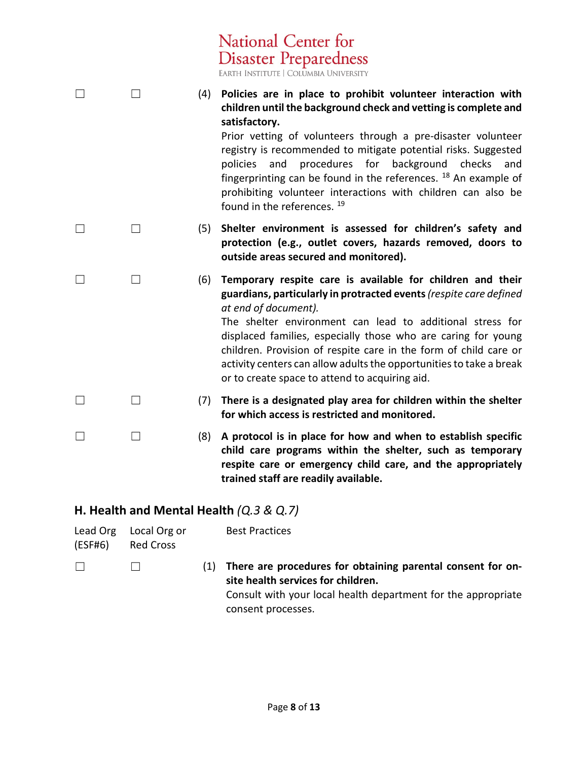|                                            |                                  |     | <b>Disaster Preparedness</b><br>EARTH INSTITUTE   COLUMBIA UNIVERSITY                                                                                                                                                                                                                                                                                                                                                                                                                                                           |
|--------------------------------------------|----------------------------------|-----|---------------------------------------------------------------------------------------------------------------------------------------------------------------------------------------------------------------------------------------------------------------------------------------------------------------------------------------------------------------------------------------------------------------------------------------------------------------------------------------------------------------------------------|
|                                            | $\vert \ \ \vert$                | (4) | Policies are in place to prohibit volunteer interaction with<br>children until the background check and vetting is complete and<br>satisfactory.<br>Prior vetting of volunteers through a pre-disaster volunteer<br>registry is recommended to mitigate potential risks. Suggested<br>procedures for background checks<br>policies<br>and<br>and<br>fingerprinting can be found in the references. $18$ An example of<br>prohibiting volunteer interactions with children can also be<br>found in the references. <sup>19</sup> |
|                                            | ⊔                                | (5) | Shelter environment is assessed for children's safety and<br>protection (e.g., outlet covers, hazards removed, doors to<br>outside areas secured and monitored).                                                                                                                                                                                                                                                                                                                                                                |
|                                            | $\Box$                           | (6) | Temporary respite care is available for children and their<br>guardians, particularly in protracted events (respite care defined<br>at end of document).<br>The shelter environment can lead to additional stress for<br>displaced families, especially those who are caring for young<br>children. Provision of respite care in the form of child care or<br>activity centers can allow adults the opportunities to take a break<br>or to create space to attend to acquiring aid.                                             |
| $\perp$                                    | $\vert \ \ \vert$                | (7) | There is a designated play area for children within the shelter<br>for which access is restricted and monitored.                                                                                                                                                                                                                                                                                                                                                                                                                |
|                                            | $\Box$                           | (8) | A protocol is in place for how and when to establish specific<br>child care programs within the shelter, such as temporary<br>respite care or emergency child care, and the appropriately<br>trained staff are readily available.                                                                                                                                                                                                                                                                                               |
| H. Health and Mental Health $(Q.3 \& Q.7)$ |                                  |     |                                                                                                                                                                                                                                                                                                                                                                                                                                                                                                                                 |
| Lead Org<br>(ESF#6)                        | Local Org or<br><b>Red Cross</b> |     | <b>Best Practices</b>                                                                                                                                                                                                                                                                                                                                                                                                                                                                                                           |

<span id="page-7-0"></span>National Center for

☐ ☐ (1) **There are procedures for obtaining parental consent for onsite health services for children.** Consult with your local health department for the appropriate consent processes.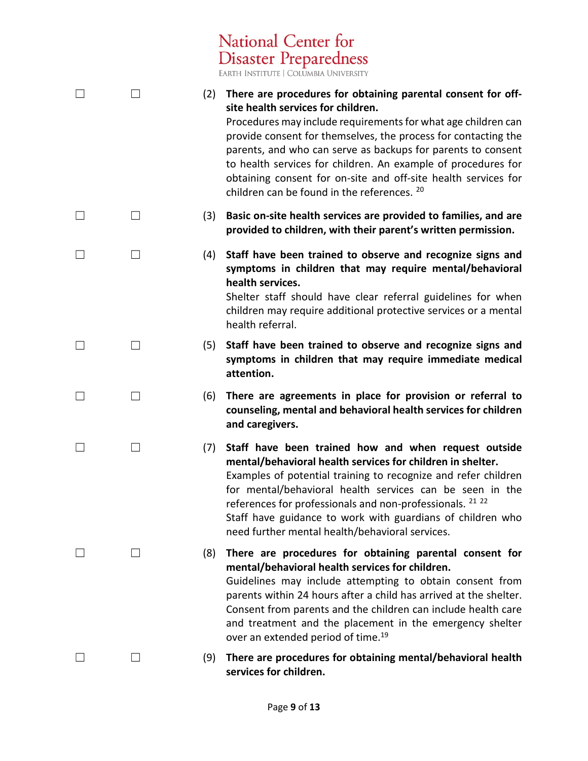National Center for<br>Disaster Preparedness

|                   | (2) | There are procedures for obtaining parental consent for off-<br>site health services for children.<br>Procedures may include requirements for what age children can<br>provide consent for themselves, the process for contacting the<br>parents, and who can serve as backups for parents to consent<br>to health services for children. An example of procedures for<br>obtaining consent for on-site and off-site health services for<br>children can be found in the references. 20 |
|-------------------|-----|-----------------------------------------------------------------------------------------------------------------------------------------------------------------------------------------------------------------------------------------------------------------------------------------------------------------------------------------------------------------------------------------------------------------------------------------------------------------------------------------|
| $\Box$            | (3) | Basic on-site health services are provided to families, and are<br>provided to children, with their parent's written permission.                                                                                                                                                                                                                                                                                                                                                        |
|                   | (4) | Staff have been trained to observe and recognize signs and<br>symptoms in children that may require mental/behavioral<br>health services.<br>Shelter staff should have clear referral guidelines for when<br>children may require additional protective services or a mental<br>health referral.                                                                                                                                                                                        |
| $\vert \ \ \vert$ | (5) | Staff have been trained to observe and recognize signs and<br>symptoms in children that may require immediate medical<br>attention.                                                                                                                                                                                                                                                                                                                                                     |
| $\vert \ \ \vert$ | (6) | There are agreements in place for provision or referral to<br>counseling, mental and behavioral health services for children<br>and caregivers.                                                                                                                                                                                                                                                                                                                                         |
| П                 | (7) | Staff have been trained how and when request outside<br>mental/behavioral health services for children in shelter.<br>Examples of potential training to recognize and refer children<br>for mental/behavioral health services can be seen in the<br>references for professionals and non-professionals. 21 22<br>Staff have guidance to work with guardians of children who<br>need further mental health/behavioral services.                                                          |
|                   | (8) | There are procedures for obtaining parental consent for<br>mental/behavioral health services for children.<br>Guidelines may include attempting to obtain consent from<br>parents within 24 hours after a child has arrived at the shelter.<br>Consent from parents and the children can include health care<br>and treatment and the placement in the emergency shelter<br>over an extended period of time. <sup>19</sup>                                                              |
|                   | (9) | There are procedures for obtaining mental/behavioral health<br>services for children.                                                                                                                                                                                                                                                                                                                                                                                                   |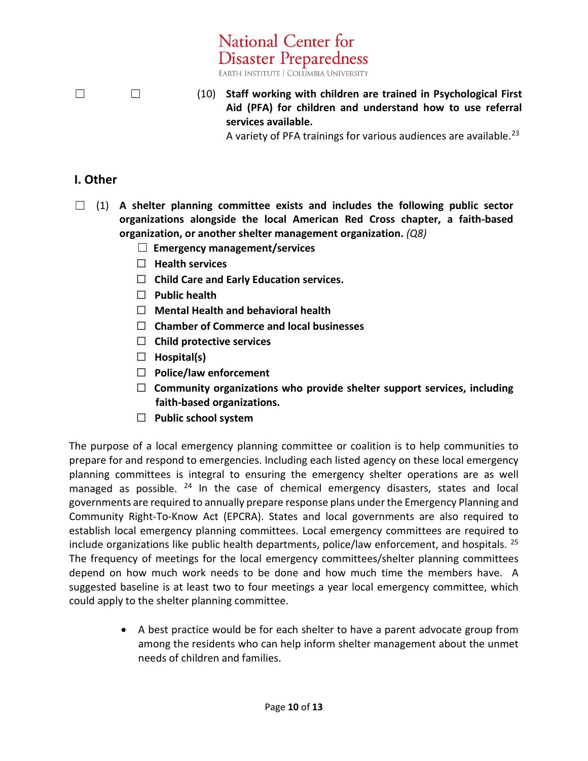☐ ☐ (10) **Staff working with children are trained in Psychological First Aid (PFA) for children and understand how to use referral services available.**

A variety of PFA trainings for various audiences are available.<sup>[23](#page-12-13)</sup>

### **I. Other**

☐ (1) **A shelter planning committee exists and includes the following public sector organizations alongside the local American Red Cross chapter, a faith-based organization, or another shelter management organization.** *(Q8)*

**National Center for** 

**Disaster Preparedness** EARTH INSTITUTE | COLUMBIA UNIVERSITY

- ☐ **Emergency management/services**
- ☐ **Health services**
- ☐ **Child Care and Early Education services.**
- ☐ **Public health**
- ☐ **Mental Health and behavioral health**
- ☐ **Chamber of Commerce and local businesses**
- ☐ **Child protective services**
- ☐ **Hospital(s)**
- ☐ **Police/law enforcement**
- ☐ **Community organizations who provide shelter support services, including faith-based organizations.**
- ☐ **Public school system**

The purpose of a local emergency planning committee or coalition is to help communities to prepare for and respond to emergencies. Including each listed agency on these local emergency planning committees is integral to ensuring the emergency shelter operations are as well managed as possible.  $24$  In the case of chemical emergency disasters, states and local governments are required to annually prepare response plans under the Emergency Planning and Community Right-To-Know Act (EPCRA). States and local governments are also required to establish local emergency planning committees. Local emergency committees are required to include organizations like public health departments, police/law enforcement, and hospitals. <sup>[25](#page-12-15)</sup> The frequency of meetings for the local emergency committees/shelter planning committees depend on how much work needs to be done and how much time the members have. A suggested baseline is at least two to four meetings a year local emergency committee, which could apply to the shelter planning committee.

> • A best practice would be for each shelter to have a parent advocate group from among the residents who can help inform shelter management about the unmet needs of children and families.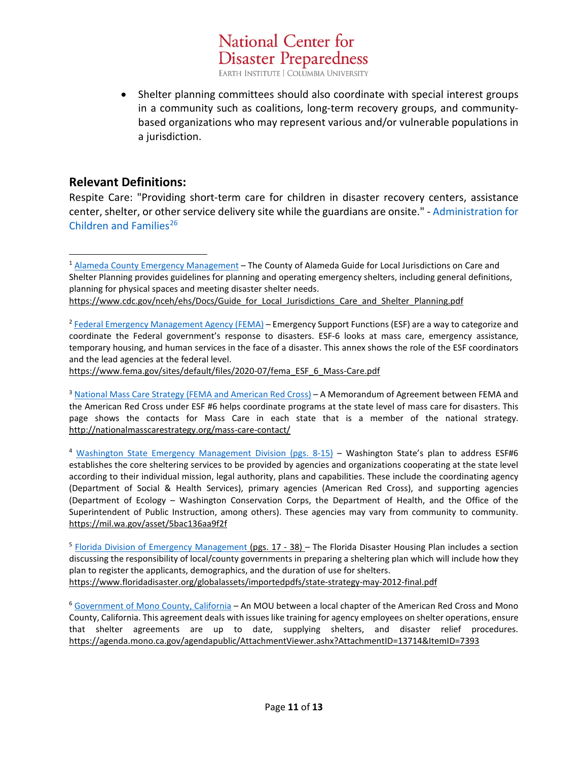**Disaster Preparedness** EARTH INSTITUTE | COLUMBIA UNIVERSITY

National Center for

• Shelter planning committees should also coordinate with special interest groups in a community such as coalitions, long-term recovery groups, and communitybased organizations who may represent various and/or vulnerable populations in a jurisdiction.

### **Relevant Definitions:**

Respite Care: "Providing short-term care for children in disaster recovery centers, assistance center, shelter, or other service delivery site while the guardians are onsite." - [Administration for](https://rcrctoolbox.org/wp-content/uploads/2020/01/Post_disaster_child_care_planning_matrix.pdf)  [Children and Families](https://rcrctoolbox.org/wp-content/uploads/2020/01/Post_disaster_child_care_planning_matrix.pdf)<sup>[26](#page-12-16)</sup>

[https://www.fema.gov/sites/default/files/2020-07/fema\\_ESF\\_6\\_Mass-Care.pdf](https://www.fema.gov/sites/default/files/2020-07/fema_ESF_6_Mass-Care.pdf)

<sup>3</sup> [National Mass Care Strategy \(FEMA and American Red Cross\)](http://nationalmasscarestrategy.org/mass-care-contact/) - A Memorandum of Agreement between FEMA and the American Red Cross under ESF #6 helps coordinate programs at the state level of mass care for disasters. This page shows the contacts for Mass Care in each state that is a member of the national strategy. <http://nationalmasscarestrategy.org/mass-care-contact/>

<sup>4</sup> [Washington State Emergency Management Division](https://www.mil.wa.gov/uploads/pdf/PLANS/wa-esf6-mass-care-final-aug2016.pdf) (pgs. 8-15) – Washington State's plan to address ESF#6 establishes the core sheltering services to be provided by agencies and organizations cooperating at the state level according to their individual mission, legal authority, plans and capabilities. These include the coordinating agency (Department of Social & Health Services), primary agencies (American Red Cross), and supporting agencies (Department of Ecology – Washington Conservation Corps, the Department of Health, and the Office of the Superintendent of Public Instruction, among others). These agencies may vary from community to community. <https://mil.wa.gov/asset/5bac136aa9f2f>

<sup>5</sup> [Florida Division of Emergency Management](https://www.floridadisaster.org/globalassets/importedpdfs/state-strategy-may-2012-final.pdf) (pgs. 17 - 38) - The Florida Disaster Housing Plan includes a section discussing the responsibility of local/county governments in preparing a sheltering plan which will include how they plan to register the applicants, demographics, and the duration of use for shelters. <https://www.floridadisaster.org/globalassets/importedpdfs/state-strategy-may-2012-final.pdf>

<sup>6</sup> [Government of Mono County, California](https://agenda.mono.ca.gov/agendapublic/AttachmentViewer.ashx?AttachmentID=13714&ItemID=7393) – An MOU between a local chapter of the American Red Cross and Mono County, California. This agreement deals with issues like training for agency employees on shelter operations, ensure that shelter agreements are up to date, supplying shelters, and disaster relief procedures. <https://agenda.mono.ca.gov/agendapublic/AttachmentViewer.ashx?AttachmentID=13714&ItemID=7393>

<sup>1</sup> [Alameda County Emergency Management](https://www.cdc.gov/nceh/ehs/Docs/Guide_for_Local_Jurisdictions_Care_and_Shelter_Planning.pdf) – The County of Alameda Guide for Local Jurisdictions on Care and Shelter Planning provides guidelines for planning and operating emergency shelters, including general definitions, planning for physical spaces and meeting disaster shelter needs. [https://www.cdc.gov/nceh/ehs/Docs/Guide\\_for\\_Local\\_Jurisdictions\\_Care\\_and\\_Shelter\\_Planning.pdf](https://www.cdc.gov/nceh/ehs/Docs/Guide_for_Local_Jurisdictions_Care_and_Shelter_Planning.pdf)

<sup>&</sup>lt;sup>2</sup> [Federal Emergency Management Agency \(FEMA\)](https://www.fema.gov/sites/default/files/2020-07/fema_ESF_6_Mass-Care.pdf) – Emergency Support Functions (ESF) are a way to categorize and coordinate the Federal government's response to disasters. ESF-6 looks at mass care, emergency assistance, temporary housing, and human services in the face of a disaster. This annex shows the role of the ESF coordinators and the lead agencies at the federal level.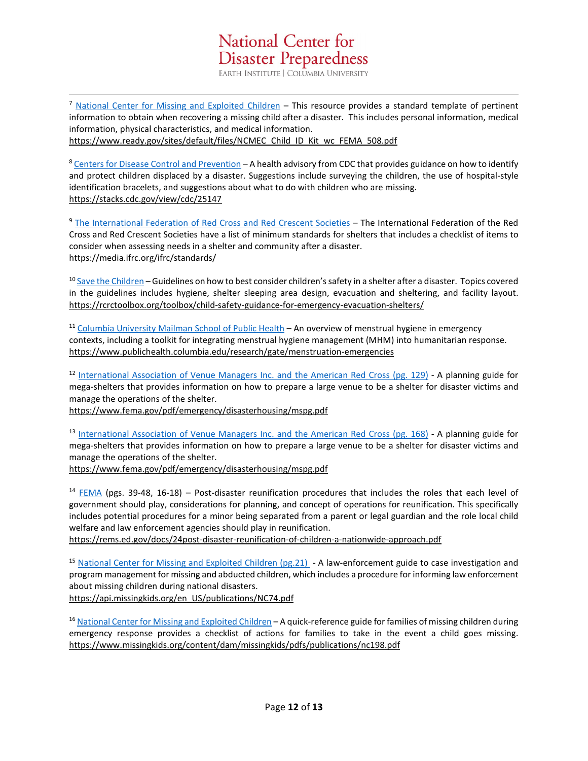<sup>7</sup> [National Center for Missing and Exploited Children](https://www.ready.gov/sites/default/files/NCMEC_Child_ID_Kit_wc_FEMA_508.pdf) – This resource provides a standard template of pertinent information to obtain when recovering a missing child after a disaster. This includes personal information, medical information, physical characteristics, and medical information. [https://www.ready.gov/sites/default/files/NCMEC\\_Child\\_ID\\_Kit\\_wc\\_FEMA\\_508.pdf](https://www.ready.gov/sites/default/files/NCMEC_Child_ID_Kit_wc_FEMA_508.pdf)

8 [Centers for Disease Control and Prevention](https://stacks.cdc.gov/view/cdc/25147) - A health advisory from CDC that provides guidance on how to identify and protect children displaced by a disaster. Suggestions include surveying the children, the use of hospital-style identification bracelets, and suggestions about what to do with children who are missing. <https://stacks.cdc.gov/view/cdc/25147>

<sup>9</sup> [The International Federation of Red Cross and Red Crescent Societies](https://media.ifrc.org/ifrc/standards/) – The International Federation of the Red Cross and Red Crescent Societies have a list of minimum standards for shelters that includes a checklist of items to consider when assessing needs in a shelter and community after a disaster. https://media.ifrc.org/ifrc/standards/

<span id="page-11-0"></span><sup>10</sup> [Save the Children](https://rcrctoolbox.org/toolbox/child-safety-guidance-for-emergency-evacuation-shelters/) – Guidelines on how to best consider children's safety in a shelter after a disaster. Topics covered in the guidelines includes hygiene, shelter sleeping area design, evacuation and sheltering, and facility layout. <https://rcrctoolbox.org/toolbox/child-safety-guidance-for-emergency-evacuation-shelters/>

<span id="page-11-1"></span><sup>11</sup> [Columbia University Mailman School of Public Health](https://www.publichealth.columbia.edu/research/gate/menstruation-emergencies) – An overview of menstrual hygiene in emergency contexts, including a toolkit for integrating menstrual hygiene management (MHM) into humanitarian response. <https://www.publichealth.columbia.edu/research/gate/menstruation-emergencies>

<sup>12</sup> [International Association of Venue Managers Inc. and the American Red Cross \(pg. 129\)](https://www.fema.gov/pdf/emergency/disasterhousing/mspg.pdf) - A planning guide for mega-shelters that provides information on how to prepare a large venue to be a shelter for disaster victims and manage the operations of the shelter.

<span id="page-11-2"></span><https://www.fema.gov/pdf/emergency/disasterhousing/mspg.pdf>

13 [International Association of Venue Managers Inc. and the American Red Cross \(pg. 168\)](https://www.fema.gov/pdf/emergency/disasterhousing/mspg.pdf) - A planning guide for mega-shelters that provides information on how to prepare a large venue to be a shelter for disaster victims and manage the operations of the shelter.

<span id="page-11-3"></span><https://www.fema.gov/pdf/emergency/disasterhousing/mspg.pdf>

<sup>14</sup> [FEMA](http://rems.ed.gov/docs/24post-disaster-reunification-of-children-a-nationwide-approach.pdf) (pgs. 39-48, 16-18) – Post-disaster reunification procedures that includes the roles that each level of government should play, considerations for planning, and concept of operations for reunification. This specifically includes potential procedures for a minor being separated from a parent or legal guardian and the role local child welfare and law enforcement agencies should play in reunification.

<span id="page-11-4"></span><https://rems.ed.gov/docs/24post-disaster-reunification-of-children-a-nationwide-approach.pdf>

<sup>15</sup> [National Center for Missing and Exploited Children \(pg.21\)](https://api.missingkids.org/en_US/publications/NC74.pdf) - A law-enforcement guide to case investigation and program management for missing and abducted children, which includes a procedure for informing law enforcement about missing children during national disasters.

<span id="page-11-5"></span>[https://api.missingkids.org/en\\_US/publications/NC74.pdf](https://api.missingkids.org/en_US/publications/NC74.pdf)

<sup>16</sup> [National Center for Missing and Exploited Children](https://www.missingkids.org/content/dam/missingkids/pdfs/publications/nc198.pdf) – A quick-reference guide for families of missing children during emergency response provides a checklist of actions for families to take in the event a child goes missing. <https://www.missingkids.org/content/dam/missingkids/pdfs/publications/nc198.pdf>